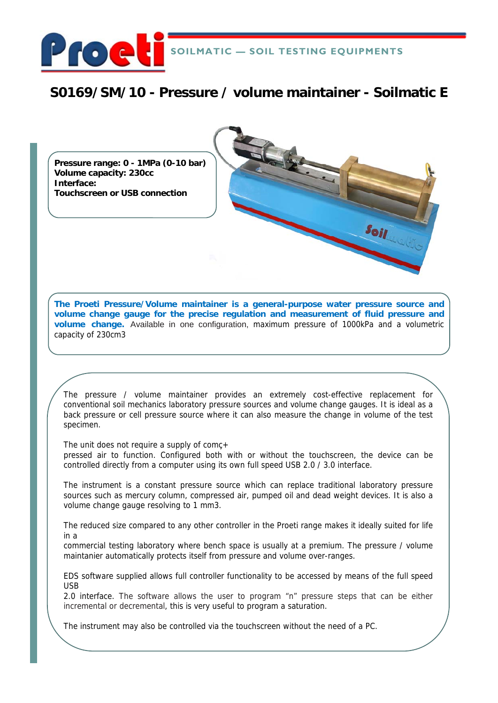

# **S0169/SM/10 - Pressure / volume maintainer - Soilmatic E**

**Pressure range: 0 - 1MPa (0-10 bar) Volume capacity: 230cc Interface: Touchscreen or USB connection** 

**The Proeti Pressure/Volume maintainer is a general-purpose water pressure source and volume change gauge for the precise regulation and measurement of fluid pressure and volume change.** Available in one configuration, maximum pressure of 1000kPa and a volumetric capacity of 230cm3

 $s_{0jj}$ 

The pressure / volume maintainer provides an extremely cost-effective replacement for conventional soil mechanics laboratory pressure sources and volume change gauges. It is ideal as a back pressure or cell pressure source where it can also measure the change in volume of the test specimen.

The unit does not require a supply of comc+

pressed air to function. Configured both with or without the touchscreen, the device can be controlled directly from a computer using its own full speed USB 2.0 / 3.0 interface.

The instrument is a constant pressure source which can replace traditional laboratory pressure sources such as mercury column, compressed air, pumped oil and dead weight devices. It is also a volume change gauge resolving to 1 mm3.

The reduced size compared to any other controller in the Proeti range makes it ideally suited for life in a

commercial testing laboratory where bench space is usually at a premium. The pressure / volume maintanier automatically protects itself from pressure and volume over-ranges.

EDS software supplied allows full controller functionality to be accessed by means of the full speed USB

2.0 interface. The software allows the user to program "n" pressure steps that can be either incremental or decremental, this is very useful to program a saturation.

The instrument may also be controlled via the touchscreen without the need of a PC.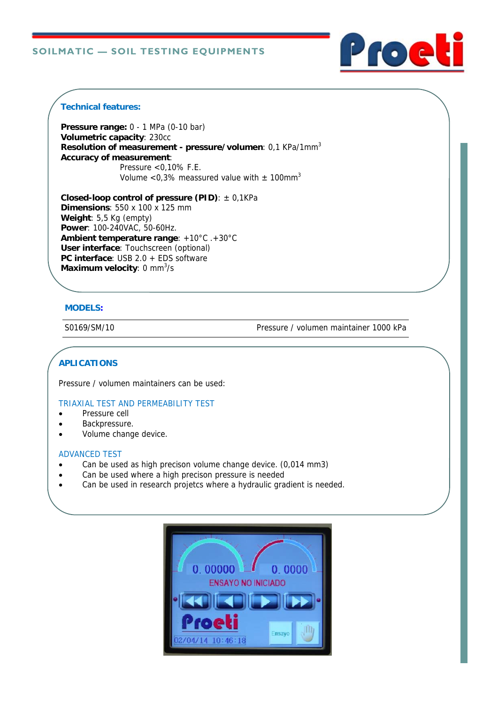

#### **Technical features:**

**Pressure range:** 0 - 1 MPa (0-10 bar) **Volumetric capacity**: 230cc **Resolution of measurement - pressure/volumen**: 0,1 KPa/1mm3 **Accuracy of measurement**: Pressure <0,10% F.E. Volume <0,3% meassured value with  $\pm$  100mm<sup>3</sup>

**Closed-loop control of pressure (PID)**: ± 0,1KPa **Dimensions**: 550 x 100 x 125 mm **Weight**: 5,5 Kg (empty) **Power**: 100-240VAC, 50-60Hz. **Ambient temperature range**: +10°C .+30°C **User interface**: Touchscreen (optional) **PC interface**: USB 2.0 + EDS software **Maximum velocity:** 0 mm<sup>3</sup>/s

# **MODELS:**

S0169/SM/10 Pressure / volumen maintainer 1000 kPa

# **APLICATIONS**

Pressure / volumen maintainers can be used:

#### TRIAXIAL TEST AND PERMEABILITY TEST

- Pressure cell
- Backpressure.
- Volume change device.

#### ADVANCED TEST

- Can be used as high precison volume change device. (0,014 mm3)
- Can be used where a high precison pressure is needed
- Can be used in research projetcs where a hydraulic gradient is needed.

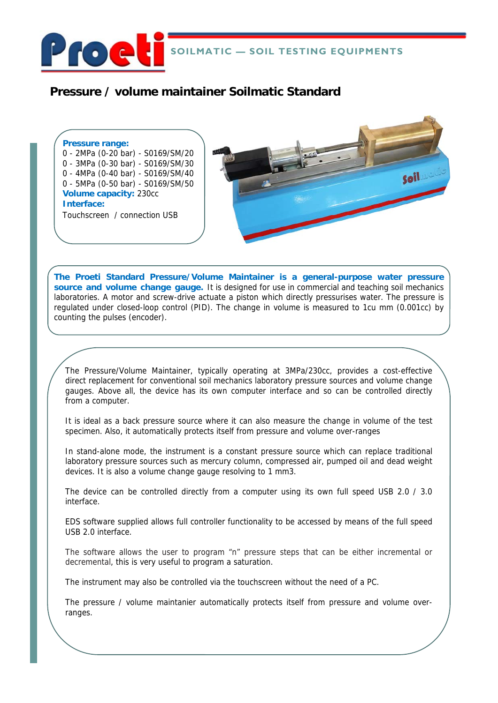

# **Pressure / volume maintainer Soilmatic Standard**

## **Pressure range:**

- 0 2MPa (0-20 bar) S0169/SM/20 0 - 3MPa (0-30 bar) - S0169/SM/30
- 0 4MPa (0-40 bar) S0169/SM/40
- 0 5MPa (0-50 bar) S0169/SM/50
- **Volume capacity:** 230cc

**Interface:** 

Touchscreen / connection USB



**The Proeti Standard Pressure/Volume Maintainer is a general-purpose water pressure source and volume change gauge.** It is designed for use in commercial and teaching soil mechanics laboratories. A motor and screw-drive actuate a piston which directly pressurises water. The pressure is regulated under closed-loop control (PID). The change in volume is measured to 1cu mm (0.001cc) by counting the pulses (encoder).

The Pressure/Volume Maintainer, typically operating at 3MPa/230cc, provides a cost-effective direct replacement for conventional soil mechanics laboratory pressure sources and volume change gauges. Above all, the device has its own computer interface and so can be controlled directly from a computer.

It is ideal as a back pressure source where it can also measure the change in volume of the test specimen. Also, it automatically protects itself from pressure and volume over-ranges

In stand-alone mode, the instrument is a constant pressure source which can replace traditional laboratory pressure sources such as mercury column, compressed air, pumped oil and dead weight devices. It is also a volume change gauge resolving to 1 mm3.

The device can be controlled directly from a computer using its own full speed USB 2.0 / 3.0 interface.

EDS software supplied allows full controller functionality to be accessed by means of the full speed USB 2.0 interface.

The software allows the user to program "n" pressure steps that can be either incremental or decremental, this is very useful to program a saturation.

The instrument may also be controlled via the touchscreen without the need of a PC.

The pressure / volume maintanier automatically protects itself from pressure and volume overranges.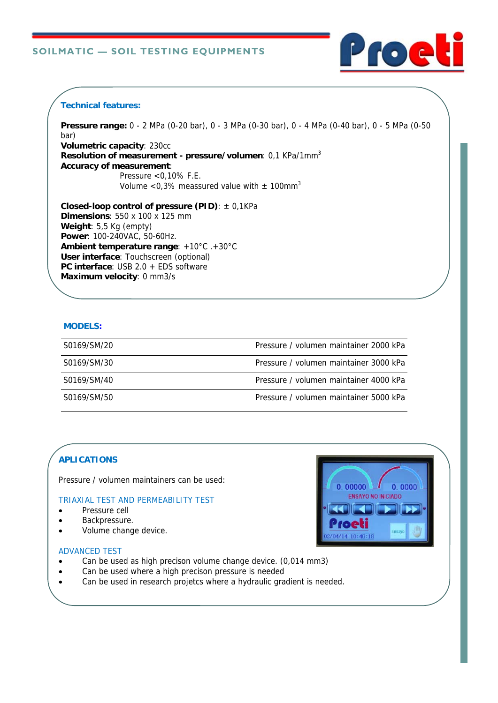

## **Technical features:**

**Pressure range:** 0 - 2 MPa (0-20 bar), 0 - 3 MPa (0-30 bar), 0 - 4 MPa (0-40 bar), 0 - 5 MPa (0-50 bar) **Volumetric capacity**: 230cc **Resolution of measurement - pressure/volumen**: 0,1 KPa/1mm3 **Accuracy of measurement**: Pressure <0,10% F.E. Volume <0,3% meassured value with  $\pm$  100mm<sup>3</sup>

**Closed-loop control of pressure (PID)**: ± 0,1KPa **Dimensions**: 550 x 100 x 125 mm **Weight**: 5,5 Kg (empty) **Power**: 100-240VAC, 50-60Hz. **Ambient temperature range**: +10°C .+30°C **User interface**: Touchscreen (optional) **PC interface**: USB 2.0 + EDS software **Maximum velocity**: 0 mm3/s

#### **MODELS:**

| S0169/SM/20 | Pressure / volumen maintainer 2000 kPa |
|-------------|----------------------------------------|
| S0169/SM/30 | Pressure / volumen maintainer 3000 kPa |
| S0169/SM/40 | Pressure / volumen maintainer 4000 kPa |
| S0169/SM/50 | Pressure / volumen maintainer 5000 kPa |

# **APLICATIONS**

Pressure / volumen maintainers can be used:

#### TRIAXIAL TEST AND PERMEABILITY TEST

- Pressure cell
- Backpressure.
- Volume change device.

# $0.00000$  $0.0000$ **ENSAYO NO INICIADO**

#### ADVANCED TEST

- Can be used as high precison volume change device. (0,014 mm3)
- Can be used where a high precison pressure is needed
- Can be used in research projetcs where a hydraulic gradient is needed.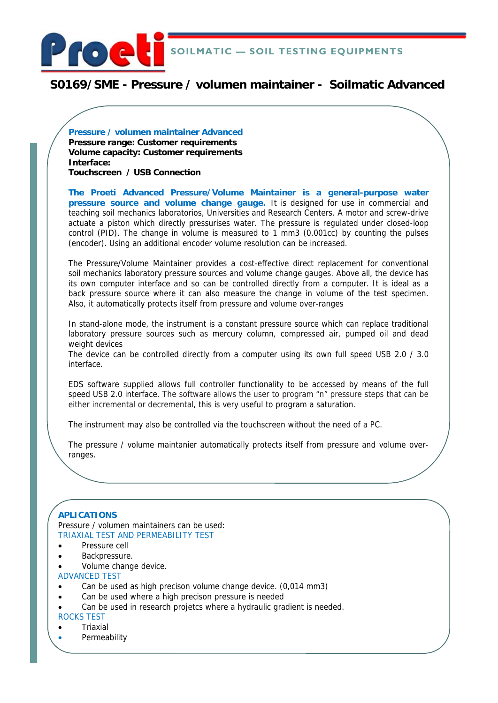

# **S0169/SME - Pressure / volumen maintainer - Soilmatic Advanced**

**Pressure / volumen maintainer Advanced Pressure range: Customer requirements Volume capacity: Customer requirements Interface: Touchscreen / USB Connection** 

**The Proeti Advanced Pressure/Volume Maintainer is a general-purpose water pressure source and volume change gauge.** It is designed for use in commercial and teaching soil mechanics laboratorios, Universities and Research Centers. A motor and screw-drive actuate a piston which directly pressurises water. The pressure is regulated under closed-loop control (PID). The change in volume is measured to 1 mm3 (0.001cc) by counting the pulses (encoder). Using an additional encoder volume resolution can be increased.

The Pressure/Volume Maintainer provides a cost-effective direct replacement for conventional soil mechanics laboratory pressure sources and volume change gauges. Above all, the device has its own computer interface and so can be controlled directly from a computer. It is ideal as a back pressure source where it can also measure the change in volume of the test specimen. Also, it automatically protects itself from pressure and volume over-ranges

In stand-alone mode, the instrument is a constant pressure source which can replace traditional laboratory pressure sources such as mercury column, compressed air, pumped oil and dead weight devices

The device can be controlled directly from a computer using its own full speed USB 2.0 / 3.0 interface.

EDS software supplied allows full controller functionality to be accessed by means of the full speed USB 2.0 interface. The software allows the user to program "n" pressure steps that can be either incremental or decremental, this is very useful to program a saturation.

The instrument may also be controlled via the touchscreen without the need of a PC.

The pressure / volume maintanier automatically protects itself from pressure and volume overranges.

#### **APLICATIONS**

Pressure / volumen maintainers can be used: TRIAXIAL TEST AND PERMEABILITY TEST

- Pressure cell
- Backpressure.
- Volume change device.

ADVANCED TEST

- Can be used as high precison volume change device. (0,014 mm3)
- Can be used where a high precison pressure is needed
- Can be used in research projetcs where a hydraulic gradient is needed.

## ROCKS TEST

- Triaxial
- **Permeability**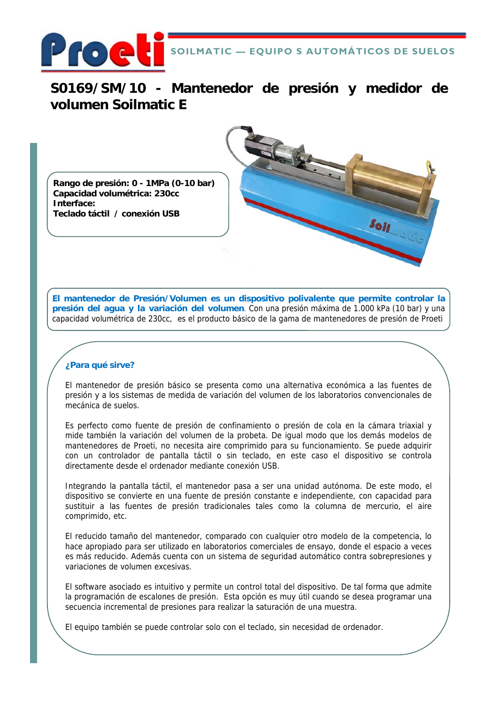

**S0169/SM/10 - Mantenedor de presión y medidor de volumen Soilmatic E**

**Rango de presión: 0 - 1MPa (0-10 bar) Capacidad volumétrica: 230cc Interface: Teclado táctil / conexión USB** 



 $s_{0jj}$ 

#### **¿Para qué sirve?**

El mantenedor de presión básico se presenta como una alternativa económica a las fuentes de presión y a los sistemas de medida de variación del volumen de los laboratorios convencionales de mecánica de suelos.

Es perfecto como fuente de presión de confinamiento o presión de cola en la cámara triaxial y mide también la variación del volumen de la probeta. De igual modo que los demás modelos de mantenedores de Proeti, no necesita aire comprimido para su funcionamiento. Se puede adquirir con un controlador de pantalla táctil o sin teclado, en este caso el dispositivo se controla directamente desde el ordenador mediante conexión USB.

Integrando la pantalla táctil, el mantenedor pasa a ser una unidad autónoma. De este modo, el dispositivo se convierte en una fuente de presión constante e independiente, con capacidad para sustituir a las fuentes de presión tradicionales tales como la columna de mercurio, el aire comprimido, etc.

El reducido tamaño del mantenedor, comparado con cualquier otro modelo de la competencia, lo hace apropiado para ser utilizado en laboratorios comerciales de ensayo, donde el espacio a veces es más reducido. Además cuenta con un sistema de seguridad automático contra sobrepresiones y variaciones de volumen excesivas.

El software asociado es intuitivo y permite un control total del dispositivo. De tal forma que admite la programación de escalones de presión. Esta opción es muy útil cuando se desea programar una secuencia incremental de presiones para realizar la saturación de una muestra.

El equipo también se puede controlar solo con el teclado, sin necesidad de ordenador.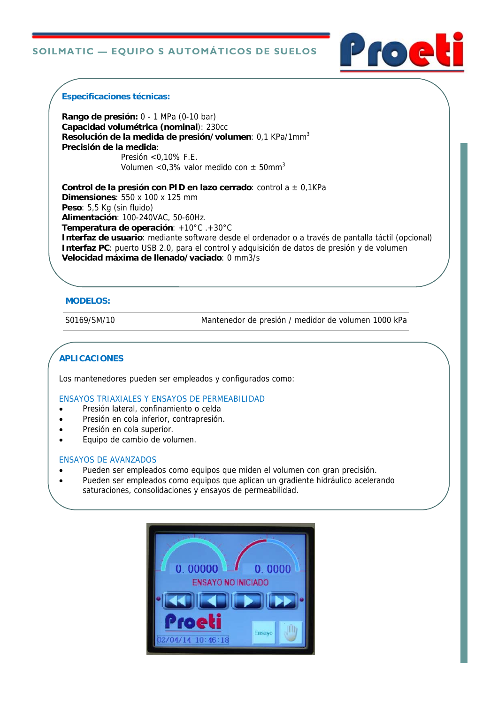#### **SOILMATIC — EQUIPO S AUTOMÁTICOS DE SUELOS**



#### **Especificaciones técnicas:**

**Rango de presión:** 0 - 1 MPa (0-10 bar) **Capacidad volumétrica (nominal**): 230cc **Resolución de la medida de presión/volumen**: 0,1 KPa/1mm3 **Precisión de la medida**: Presión <0,10% F.E.

Volumen <0,3% valor medido con  $\pm$  50mm<sup>3</sup>

**Control de la presión con PID en lazo cerrado**: control a ± 0,1KPa **Dimensiones**: 550 x 100 x 125 mm **Peso**: 5,5 Kg (sin fluido) **Alimentación**: 100-240VAC, 50-60Hz. **Temperatura de operación**: +10°C .+30°C **Interfaz de usuario**: mediante software desde el ordenador o a través de pantalla táctil (opcional) **Interfaz PC**: puerto USB 2.0, para el control y adquisición de datos de presión y de volumen **Velocidad máxima de llenado/vaciado**: 0 mm3/s

#### **MODELOS:**

S0169/SM/10 Mantenedor de presión / medidor de volumen 1000 kPa

# **APLICACIONES**

Los mantenedores pueden ser empleados y configurados como:

ENSAYOS TRIAXIALES Y ENSAYOS DE PERMEABILIDAD

- Presión lateral, confinamiento o celda
- Presión en cola inferior, contrapresión.
- Presión en cola superior.
- Equipo de cambio de volumen.

#### ENSAYOS DE AVANZADOS

- Pueden ser empleados como equipos que miden el volumen con gran precisión.
- Pueden ser empleados como equipos que aplican un gradiente hidráulico acelerando saturaciones, consolidaciones y ensayos de permeabilidad.

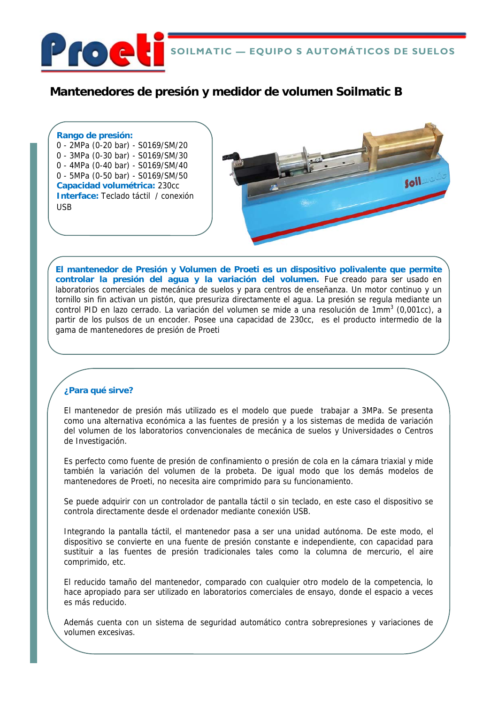

# **Mantenedores de presión y medidor de volumen Soilmatic B**

**Rango de presión:**  0 - 2MPa (0-20 bar) - S0169/SM/20 0 - 3MPa (0-30 bar) - S0169/SM/30 0 - 4MPa (0-40 bar) - S0169/SM/40 0 - 5MPa (0-50 bar) - S0169/SM/50 **Capacidad volumétrica:** 230cc **Interface:** Teclado táctil / conexión USB



**El mantenedor de Presión y Volumen de Proeti es un dispositivo polivalente que permite controlar la presión del agua y la variación del volumen.** Fue creado para ser usado en laboratorios comerciales de mecánica de suelos y para centros de enseñanza. Un motor continuo y un tornillo sin fin activan un pistón, que presuriza directamente el agua. La presión se regula mediante un control PID en lazo cerrado. La variación del volumen se mide a una resolución de 1mm<sup>3</sup> (0,001cc), a partir de los pulsos de un encoder. Posee una capacidad de 230cc, es el producto intermedio de la gama de mantenedores de presión de Proeti

# **¿Para qué sirve?**

El mantenedor de presión más utilizado es el modelo que puede trabajar a 3MPa. Se presenta como una alternativa económica a las fuentes de presión y a los sistemas de medida de variación del volumen de los laboratorios convencionales de mecánica de suelos y Universidades o Centros de Investigación.

Es perfecto como fuente de presión de confinamiento o presión de cola en la cámara triaxial y mide también la variación del volumen de la probeta. De igual modo que los demás modelos de mantenedores de Proeti, no necesita aire comprimido para su funcionamiento.

Se puede adquirir con un controlador de pantalla táctil o sin teclado, en este caso el dispositivo se controla directamente desde el ordenador mediante conexión USB.

Integrando la pantalla táctil, el mantenedor pasa a ser una unidad autónoma. De este modo, el dispositivo se convierte en una fuente de presión constante e independiente, con capacidad para sustituir a las fuentes de presión tradicionales tales como la columna de mercurio, el aire comprimido, etc.

El reducido tamaño del mantenedor, comparado con cualquier otro modelo de la competencia, lo hace apropiado para ser utilizado en laboratorios comerciales de ensayo, donde el espacio a veces es más reducido.

Además cuenta con un sistema de seguridad automático contra sobrepresiones y variaciones de volumen excesivas.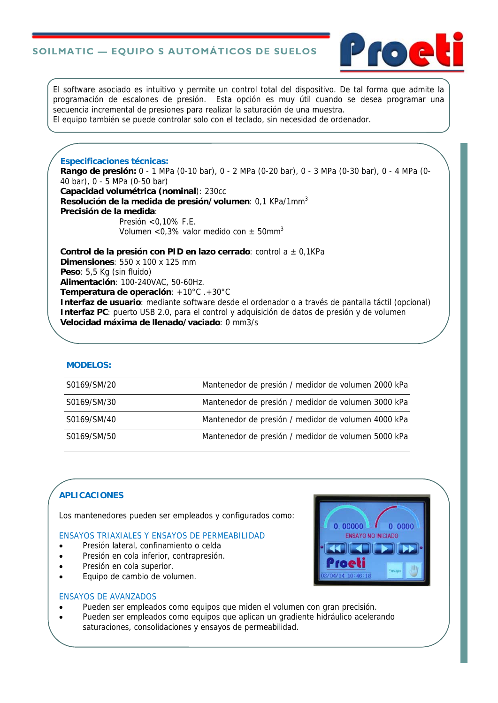# **SOILMATIC — EQUIPO S AUTOMÁTICOS DE SUELOS**



El software asociado es intuitivo y permite un control total del dispositivo. De tal forma que admite la programación de escalones de presión. Esta opción es muy útil cuando se desea programar una secuencia incremental de presiones para realizar la saturación de una muestra. El equipo también se puede controlar solo con el teclado, sin necesidad de ordenador.

**Especificaciones técnicas: Rango de presión:** 0 - 1 MPa (0-10 bar), 0 - 2 MPa (0-20 bar), 0 - 3 MPa (0-30 bar), 0 - 4 MPa (0- 40 bar), 0 - 5 MPa (0-50 bar) **Capacidad volumétrica (nominal**): 230cc **Resolución de la medida de presión/volumen**: 0,1 KPa/1mm3 **Precisión de la medida**: Presión <0,10% F.E. Volumen <0,3% valor medido con  $\pm$  50mm<sup>3</sup>

**Control de la presión con PID en lazo cerrado**: control a ± 0,1KPa **Dimensiones**: 550 x 100 x 125 mm **Peso**: 5,5 Kg (sin fluido) **Alimentación**: 100-240VAC, 50-60Hz. **Temperatura de operación**: +10°C .+30°C **Interfaz de usuario**: mediante software desde el ordenador o a través de pantalla táctil (opcional) **Interfaz PC**: puerto USB 2.0, para el control y adquisición de datos de presión y de volumen

**Velocidad máxima de llenado/vaciado**: 0 mm3/s

#### **MODELOS:**

| S0169/SM/20 | Mantenedor de presión / medidor de volumen 2000 kPa |
|-------------|-----------------------------------------------------|
| S0169/SM/30 | Mantenedor de presión / medidor de volumen 3000 kPa |
| S0169/SM/40 | Mantenedor de presión / medidor de volumen 4000 kPa |
| S0169/SM/50 | Mantenedor de presión / medidor de volumen 5000 kPa |

# **APLICACIONES**

Los mantenedores pueden ser empleados y configurados como:

#### ENSAYOS TRIAXIALES Y ENSAYOS DE PERMEABILIDAD

- **•** Presión lateral, confinamiento o celda
- **•** Presión en cola inferior, contrapresión.
- Presión en cola superior.
- Equipo de cambio de volumen.

#### ENSAYOS DE AVANZADOS

- Pueden ser empleados como equipos que miden el volumen con gran precisión.
- Pueden ser empleados como equipos que aplican un gradiente hidráulico acelerando saturaciones, consolidaciones y ensayos de permeabilidad.